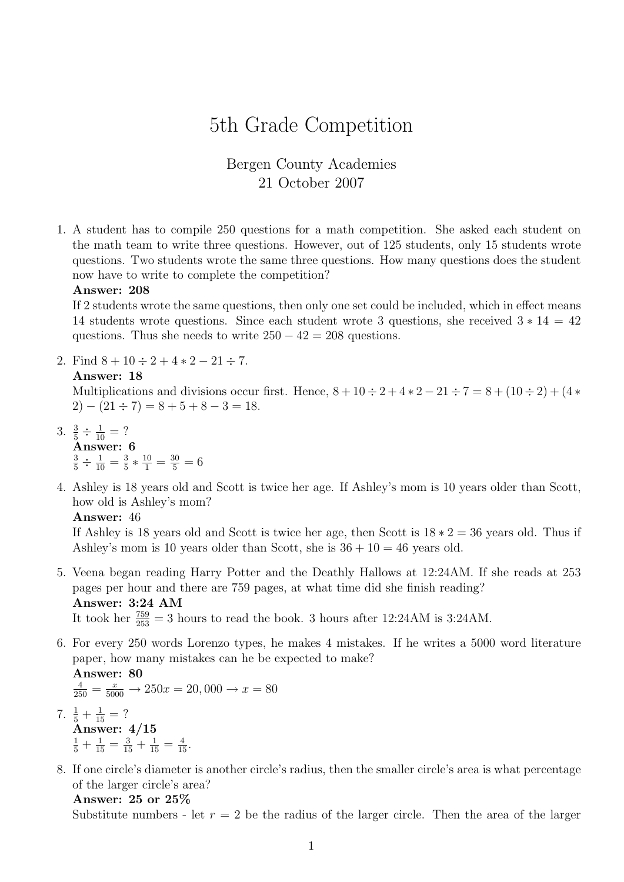# 5th Grade Competition

## Bergen County Academies 21 October 2007

1. A student has to compile 250 questions for a math competition. She asked each student on the math team to write three questions. However, out of 125 students, only 15 students wrote questions. Two students wrote the same three questions. How many questions does the student now have to write to complete the competition?

#### Answer: 208

If 2 students wrote the same questions, then only one set could be included, which in effect means 14 students wrote questions. Since each student wrote 3 questions, she received  $3 * 14 = 42$ questions. Thus she needs to write  $250 - 42 = 208$  questions.

2. Find  $8 + 10 \div 2 + 4 \times 2 - 21 \div 7$ .

#### Answer: 18

Multiplications and divisions occur first. Hence,  $8 + 10 \div 2 + 4 \times 2 - 21 \div 7 = 8 + (10 \div 2) + (4 \times 2)$  $2) - (21 \div 7) = 8 + 5 + 8 - 3 = 18.$ 

- 3.  $\frac{3}{5} \div \frac{1}{10} = ?$ Answer: 6  $\frac{3}{5} \div \frac{1}{10} = \frac{3}{5}$  $\frac{3}{5} * \frac{10}{1} = \frac{30}{5} = 6$
- 4. Ashley is 18 years old and Scott is twice her age. If Ashley's mom is 10 years older than Scott, how old is Ashley's mom?

#### Answer: 46

If Ashley is 18 years old and Scott is twice her age, then Scott is  $18 * 2 = 36$  years old. Thus if Ashley's mom is 10 years older than Scott, she is  $36 + 10 = 46$  years old.

5. Veena began reading Harry Potter and the Deathly Hallows at 12:24AM. If she reads at 253 pages per hour and there are 759 pages, at what time did she finish reading? Answer: 3:24 AM

It took her  $\frac{759}{253} = 3$  hours to read the book. 3 hours after 12:24AM is 3:24AM.

6. For every 250 words Lorenzo types, he makes 4 mistakes. If he writes a 5000 word literature paper, how many mistakes can he be expected to make? Answer: 80

$$
\frac{4}{250} = \frac{x}{5000} \to 250x = 20,000 \to x = 80
$$

- 7.  $\frac{1}{5} + \frac{1}{15} = ?$ Answer: 4/15  $\frac{1}{5} + \frac{1}{15} = \frac{3}{15} + \frac{1}{15} = \frac{4}{15}.$
- 8. If one circle's diameter is another circle's radius, then the smaller circle's area is what percentage of the larger circle's area?

```
Answer: 25 or 25%
```
Substitute numbers - let  $r = 2$  be the radius of the larger circle. Then the area of the larger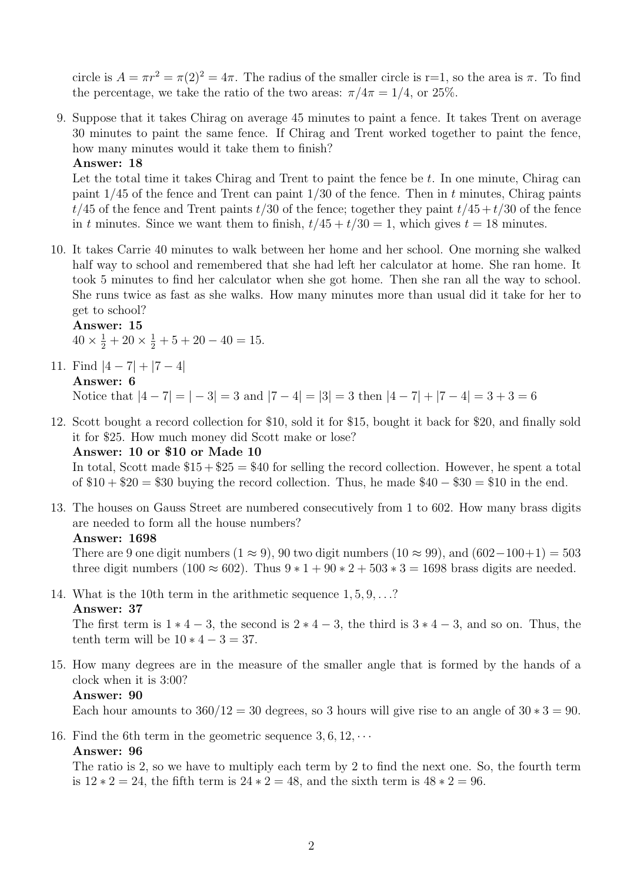circle is  $A = \pi r^2 = \pi(2)^2 = 4\pi$ . The radius of the smaller circle is r=1, so the area is  $\pi$ . To find the percentage, we take the ratio of the two areas:  $\pi/4\pi = 1/4$ , or 25%.

9. Suppose that it takes Chirag on average 45 minutes to paint a fence. It takes Trent on average 30 minutes to paint the same fence. If Chirag and Trent worked together to paint the fence, how many minutes would it take them to finish?

#### Answer: 18

Let the total time it takes Chirag and Trent to paint the fence be  $t$ . In one minute, Chirag can paint  $1/45$  of the fence and Trent can paint  $1/30$  of the fence. Then in t minutes, Chirag paints  $t/45$  of the fence and Trent paints  $t/30$  of the fence; together they paint  $t/45 + t/30$  of the fence in t minutes. Since we want them to finish,  $t/45 + t/30 = 1$ , which gives  $t = 18$  minutes.

10. It takes Carrie 40 minutes to walk between her home and her school. One morning she walked half way to school and remembered that she had left her calculator at home. She ran home. It took 5 minutes to find her calculator when she got home. Then she ran all the way to school. She runs twice as fast as she walks. How many minutes more than usual did it take for her to get to school?

Answer: 15

 $40 \times \frac{1}{2} + 20 \times \frac{1}{2} + 5 + 20 - 40 = 15.$ 

11. Find  $|4 - 7| + |7 - 4|$ Answer: 6

Notice that  $|4 - 7| = |-3| = 3$  and  $|7 - 4| = |3| = 3$  then  $|4 - 7| + |7 - 4| = 3 + 3 = 6$ 

12. Scott bought a record collection for \$10, sold it for \$15, bought it back for \$20, and finally sold it for \$25. How much money did Scott make or lose?

## Answer: 10 or \$10 or Made 10

In total, Scott made  $$15 + $25 = $40$  for selling the record collection. However, he spent a total of  $$10 + $20 = $30$  buying the record collection. Thus, he made  $$40 - $30 = $10$  in the end.

13. The houses on Gauss Street are numbered consecutively from 1 to 602. How many brass digits are needed to form all the house numbers?

#### Answer: 1698

There are 9 one digit numbers  $(1 \approx 9)$ , 90 two digit numbers  $(10 \approx 99)$ , and  $(602-100+1) = 503$ three digit numbers (100  $\approx$  602). Thus  $9 * 1 + 90 * 2 + 503 * 3 = 1698$  brass digits are needed.

14. What is the 10th term in the arithmetic sequence 1, 5, 9, . . .?

### Answer: 37

The first term is  $1 * 4 - 3$ , the second is  $2 * 4 - 3$ , the third is  $3 * 4 - 3$ , and so on. Thus, the tenth term will be  $10 * 4 - 3 = 37$ .

15. How many degrees are in the measure of the smaller angle that is formed by the hands of a clock when it is 3:00?

### Answer: 90

Each hour amounts to  $360/12 = 30$  degrees, so 3 hours will give rise to an angle of  $30 * 3 = 90$ .

16. Find the 6th term in the geometric sequence  $3, 6, 12, \cdots$ 

### Answer: 96

The ratio is 2, so we have to multiply each term by 2 to find the next one. So, the fourth term is  $12 * 2 = 24$ , the fifth term is  $24 * 2 = 48$ , and the sixth term is  $48 * 2 = 96$ .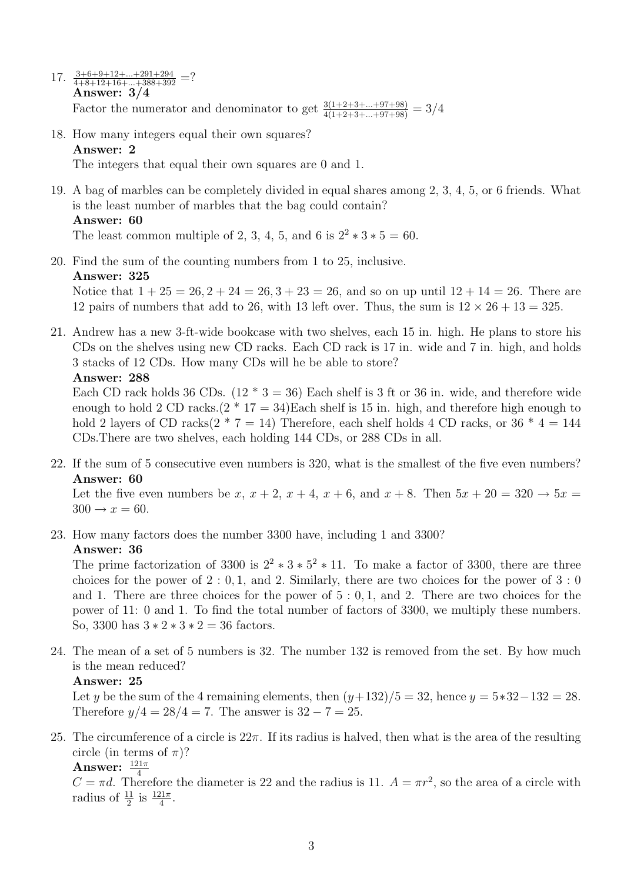- 17.  $\frac{3+6+9+12+\ldots+291+294}{4+8+12+16+\ldots+388+392}$  =? Answer: 3/4 Factor the numerator and denominator to get  $\frac{3(1+2+3+\dots+97+98)}{4(1+2+3+\dots+97+98)} = 3/4$
- 18. How many integers equal their own squares? Answer: 2

The integers that equal their own squares are 0 and 1.

19. A bag of marbles can be completely divided in equal shares among 2, 3, 4, 5, or 6 friends. What is the least number of marbles that the bag could contain? Answer: 60

The least common multiple of 2, 3, 4, 5, and 6 is  $2^2 * 3 * 5 = 60$ .

- 20. Find the sum of the counting numbers from 1 to 25, inclusive. Answer: 325 Notice that  $1 + 25 = 26, 2 + 24 = 26, 3 + 23 = 26$ , and so on up until  $12 + 14 = 26$ . There are 12 pairs of numbers that add to 26, with 13 left over. Thus, the sum is  $12 \times 26 + 13 = 325$ .
- 21. Andrew has a new 3-ft-wide bookcase with two shelves, each 15 in. high. He plans to store his CDs on the shelves using new CD racks. Each CD rack is 17 in. wide and 7 in. high, and holds 3 stacks of 12 CDs. How many CDs will he be able to store?

## Answer: 288

Each CD rack holds 36 CDs.  $(12 * 3 = 36)$  Each shelf is 3 ft or 36 in. wide, and therefore wide enough to hold 2 CD racks. $(2 * 17 = 34)$ Each shelf is 15 in. high, and therefore high enough to hold 2 layers of CD racks( $2 * 7 = 14$ ) Therefore, each shelf holds 4 CD racks, or 36  $* 4 = 144$ CDs.There are two shelves, each holding 144 CDs, or 288 CDs in all.

22. If the sum of 5 consecutive even numbers is 320, what is the smallest of the five even numbers? Answer: 60

Let the five even numbers be x,  $x + 2$ ,  $x + 4$ ,  $x + 6$ , and  $x + 8$ . Then  $5x + 20 = 320 \rightarrow 5x =$  $300 \rightarrow x = 60.$ 

23. How many factors does the number 3300 have, including 1 and 3300?

## Answer: 36

The prime factorization of 3300 is  $2^2 * 3 * 5^2 * 11$ . To make a factor of 3300, there are three choices for the power of  $2:0,1$ , and 2. Similarly, there are two choices for the power of  $3:0$ and 1. There are three choices for the power of 5 : 0, 1, and 2. There are two choices for the power of 11: 0 and 1. To find the total number of factors of 3300, we multiply these numbers. So, 3300 has  $3 * 2 * 3 * 2 = 36$  factors.

24. The mean of a set of 5 numbers is 32. The number 132 is removed from the set. By how much is the mean reduced?

## Answer: 25

Let y be the sum of the 4 remaining elements, then  $(y+132)/5 = 32$ , hence  $y = 5*32-132 = 28$ . Therefore  $y/4 = 28/4 = 7$ . The answer is  $32 - 7 = 25$ .

25. The circumference of a circle is  $22\pi$ . If its radius is halved, then what is the area of the resulting circle (in terms of  $\pi$ )?

Answer:  $\frac{121\pi}{4}$ 

 $C = \pi d$ . Therefore the diameter is 22 and the radius is 11.  $A = \pi r^2$ , so the area of a circle with radius of  $\frac{11}{2}$  is  $\frac{121\pi}{4}$ .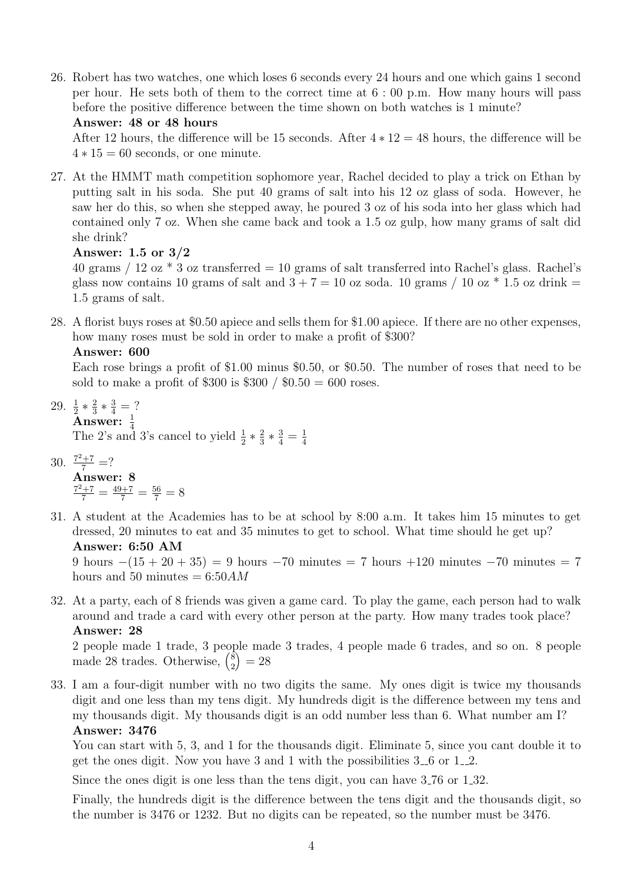26. Robert has two watches, one which loses 6 seconds every 24 hours and one which gains 1 second per hour. He sets both of them to the correct time at 6 : 00 p.m. How many hours will pass before the positive difference between the time shown on both watches is 1 minute?

## Answer: 48 or 48 hours

After 12 hours, the difference will be 15 seconds. After  $4 * 12 = 48$  hours, the difference will be  $4 * 15 = 60$  seconds, or one minute.

27. At the HMMT math competition sophomore year, Rachel decided to play a trick on Ethan by putting salt in his soda. She put 40 grams of salt into his 12 oz glass of soda. However, he saw her do this, so when she stepped away, he poured 3 oz of his soda into her glass which had contained only 7 oz. When she came back and took a 1.5 oz gulp, how many grams of salt did she drink?

## Answer: 1.5 or 3/2

40 grams / 12 oz  $*$  3 oz transferred = 10 grams of salt transferred into Rachel's glass. Rachel's glass now contains 10 grams of salt and  $3 + 7 = 10$  oz soda. 10 grams / 10 oz \* 1.5 oz drink = 1.5 grams of salt.

28. A florist buys roses at \$0.50 apiece and sells them for \$1.00 apiece. If there are no other expenses, how many roses must be sold in order to make a profit of \$300?

Answer: 600

Each rose brings a profit of \$1.00 minus \$0.50, or \$0.50. The number of roses that need to be sold to make a profit of \$300 is \$300 /  $0.50 = 600$  roses.

29.  $\frac{1}{2} * \frac{2}{3}$  $\frac{2}{3} * \frac{3}{4} = ?$ 

**Answer:**  $\frac{1}{4}$ <br>The 2's and 3's cancel to yield  $\frac{1}{2} * \frac{2}{3}$  $\frac{2}{3} * \frac{3}{4} = \frac{1}{4}$ 4

- 30.  $\frac{7^2+7}{7}$  =? Answer: 8  $\frac{7^2+7}{7} = \frac{49+7}{7} = \frac{56}{7} = 8$
- 31. A student at the Academies has to be at school by 8:00 a.m. It takes him 15 minutes to get dressed, 20 minutes to eat and 35 minutes to get to school. What time should he get up? Answer: 6:50 AM

9 hours  $-(15 + 20 + 35) = 9$  hours  $-70$  minutes = 7 hours +120 minutes  $-70$  minutes = 7 hours and 50 minutes  $= 6:50AM$ 

32. At a party, each of 8 friends was given a game card. To play the game, each person had to walk around and trade a card with every other person at the party. How many trades took place? Answer: 28

2 people made 1 trade, 3 people made 3 trades, 4 people made 6 trades, and so on. 8 people made 28 trades. Otherwise,  $\binom{8}{2}$ 2  $= 28$ 

33. I am a four-digit number with no two digits the same. My ones digit is twice my thousands digit and one less than my tens digit. My hundreds digit is the difference between my tens and my thousands digit. My thousands digit is an odd number less than 6. What number am I? Answer: 3476

You can start with 5, 3, and 1 for the thousands digit. Eliminate 5, since you cant double it to get the ones digit. Now you have 3 and 1 with the possibilities  $3-6$  or  $1-2$ .

Since the ones digit is one less than the tens digit, you can have 3 76 or 1 32.

Finally, the hundreds digit is the difference between the tens digit and the thousands digit, so the number is 3476 or 1232. But no digits can be repeated, so the number must be 3476.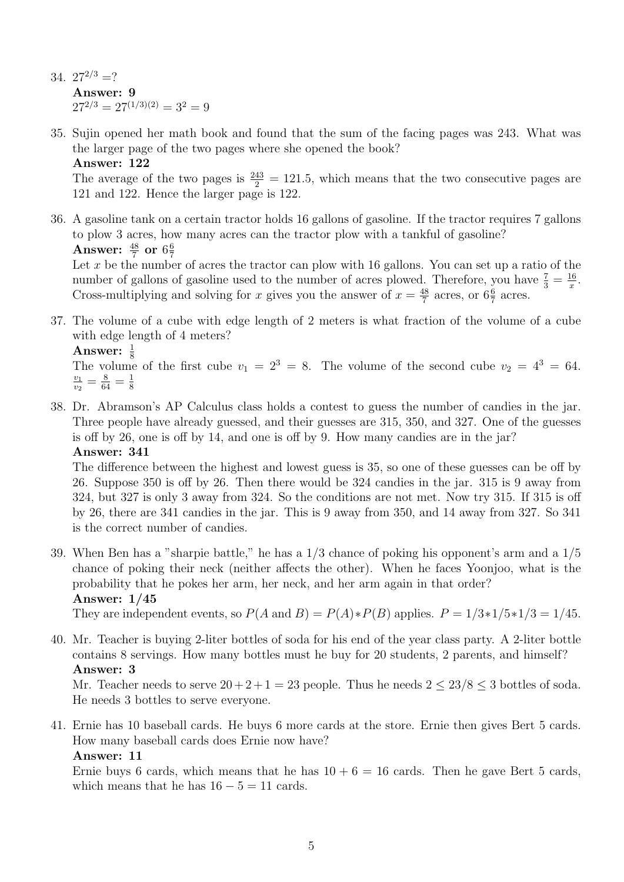- 34.  $27^{2/3}$  =? Answer: 9  $27^{2/3} = 27^{(1/3)(2)} = 3^2 = 9$
- 35. Sujin opened her math book and found that the sum of the facing pages was 243. What was the larger page of the two pages where she opened the book? Answer: 122

The average of the two pages is  $\frac{243}{2} = 121.5$ , which means that the two consecutive pages are 121 and 122. Hence the larger page is 122.

36. A gasoline tank on a certain tractor holds 16 gallons of gasoline. If the tractor requires 7 gallons to plow 3 acres, how many acres can the tractor plow with a tankful of gasoline? Answer:  $\frac{48}{7}$  or  $6\frac{6}{7}$ 7

Let  $x$  be the number of acres the tractor can plow with 16 gallons. You can set up a ratio of the number of gallons of gasoline used to the number of acres plowed. Therefore, you have  $\frac{7}{3} = \frac{16}{x}$  $\frac{16}{x}$ . Cross-multiplying and solving for x gives you the answer of  $x = \frac{48}{7}$  $\frac{48}{7}$  acres, or  $6\frac{6}{7}$  acres.

37. The volume of a cube with edge length of 2 meters is what fraction of the volume of a cube with edge length of 4 meters?

Answer:  $\frac{1}{8}$ 

The volume of the first cube  $v_1 = 2^3 = 8$ . The volume of the second cube  $v_2 = 4^3 = 64$ .  $\frac{v_1}{v_1}$  $\frac{v_1}{v_2}=\frac{8}{64}=\frac{1}{8}$ 8

38. Dr. Abramson's AP Calculus class holds a contest to guess the number of candies in the jar. Three people have already guessed, and their guesses are 315, 350, and 327. One of the guesses is off by 26, one is off by 14, and one is off by 9. How many candies are in the jar? Answer: 341

The difference between the highest and lowest guess is 35, so one of these guesses can be off by 26. Suppose 350 is off by 26. Then there would be 324 candies in the jar. 315 is 9 away from 324, but 327 is only 3 away from 324. So the conditions are not met. Now try 315. If 315 is off by 26, there are 341 candies in the jar. This is 9 away from 350, and 14 away from 327. So 341 is the correct number of candies.

39. When Ben has a "sharpie battle," he has a 1/3 chance of poking his opponent's arm and a 1/5 chance of poking their neck (neither affects the other). When he faces Yoonjoo, what is the probability that he pokes her arm, her neck, and her arm again in that order? Answer: 1/45

They are independent events, so  $P(A \text{ and } B) = P(A) * P(B)$  applies.  $P = 1/3 * 1/5 * 1/3 = 1/45$ .

40. Mr. Teacher is buying 2-liter bottles of soda for his end of the year class party. A 2-liter bottle contains 8 servings. How many bottles must he buy for 20 students, 2 parents, and himself? Answer: 3

Mr. Teacher needs to serve  $20 + 2 + 1 = 23$  people. Thus he needs  $2 \leq 23/8 \leq 3$  bottles of soda. He needs 3 bottles to serve everyone.

41. Ernie has 10 baseball cards. He buys 6 more cards at the store. Ernie then gives Bert 5 cards. How many baseball cards does Ernie now have?

## Answer: 11

Ernie buys 6 cards, which means that he has  $10 + 6 = 16$  cards. Then he gave Bert 5 cards, which means that he has  $16 - 5 = 11$  cards.